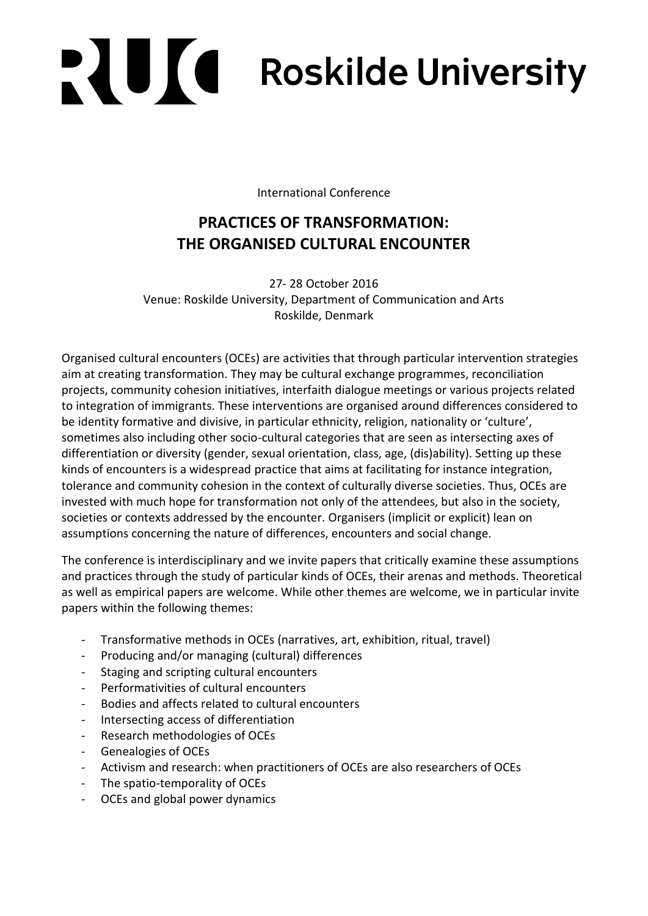# **PAULO Roskilde University**

International Conference

# **PRACTICES OF TRANSFORMATION: THE ORGANISED CULTURAL ENCOUNTER**

27- 28 October 2016 Venue: Roskilde University, Department of Communication and Arts Roskilde, Denmark

Organised cultural encounters (OCEs) are activities that through particular intervention strategies aim at creating transformation. They may be cultural exchange programmes, reconciliation projects, community cohesion initiatives, interfaith dialogue meetings or various projects related to integration of immigrants. These interventions are organised around differences considered to be identity formative and divisive, in particular ethnicity, religion, nationality or 'culture', sometimes also including other socio-cultural categories that are seen as intersecting axes of differentiation or diversity (gender, sexual orientation, class, age, (dis)ability). Setting up these kinds of encounters is a widespread practice that aims at facilitating for instance integration, tolerance and community cohesion in the context of culturally diverse societies. Thus, OCEs are invested with much hope for transformation not only of the attendees, but also in the society, societies or contexts addressed by the encounter. Organisers (implicit or explicit) lean on assumptions concerning the nature of differences, encounters and social change.

The conference is interdisciplinary and we invite papers that critically examine these assumptions and practices through the study of particular kinds of OCEs, their arenas and methods. Theoretical as well as empirical papers are welcome. While other themes are welcome, we in particular invite papers within the following themes:

- Transformative methods in OCEs (narratives, art, exhibition, ritual, travel)
- Producing and/or managing (cultural) differences
- Staging and scripting cultural encounters
- Performativities of cultural encounters
- Bodies and affects related to cultural encounters
- Intersecting access of differentiation
- Research methodologies of OCEs
- Genealogies of OCEs
- Activism and research: when practitioners of OCEs are also researchers of OCEs
- The spatio-temporality of OCEs
- OCEs and global power dynamics